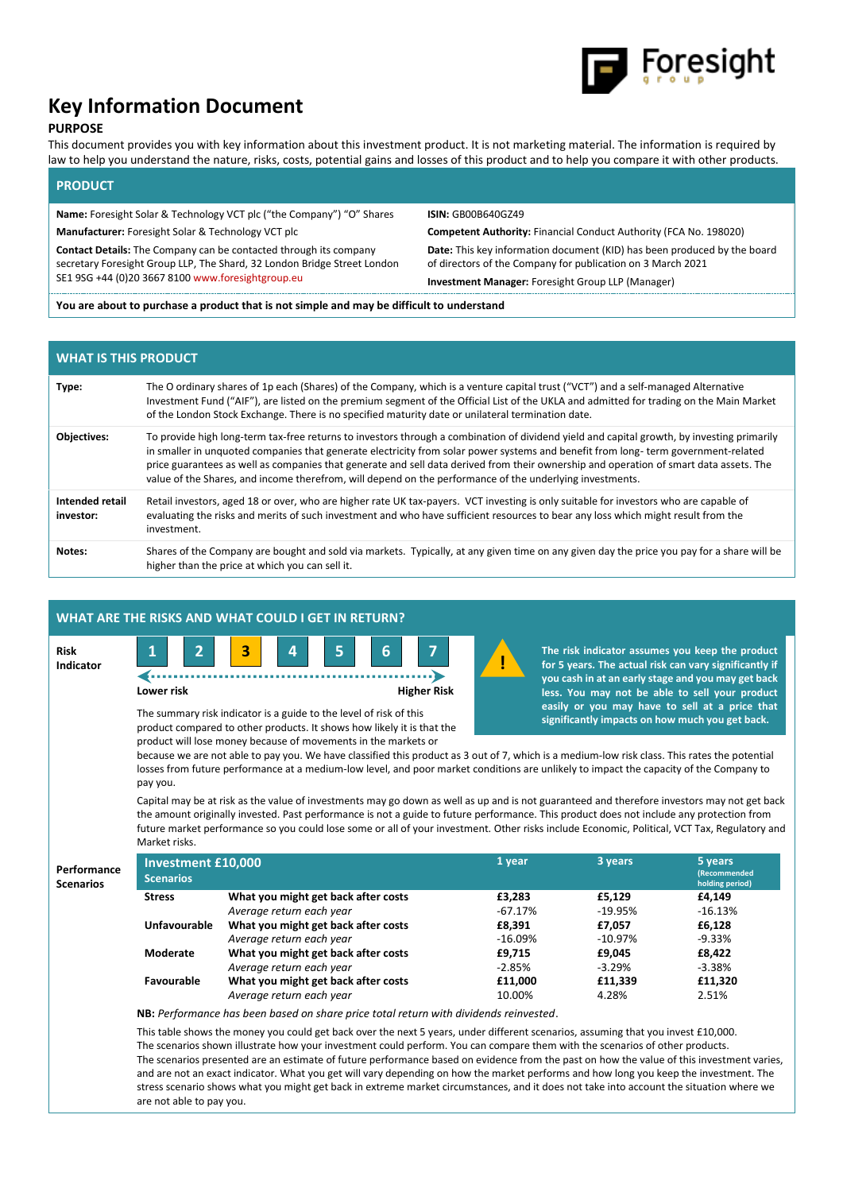

# **Key Information Document**

# **PURPOSE**

This document provides you with key information about this investment product. It is not marketing material. The information is required by law to help you understand the nature, risks, costs, potential gains and losses of this product and to help you compare it with other products.

# **PRODUCT**

**Name:** Foresight Solar & Technology VCT plc ("the Company") "O" Shares **ISIN:** GB00B640GZ49

**Contact Details:** The Company can be contacted through its company secretary Foresight Group LLP, The Shard, 32 London Bridge Street London SE1 9SG +44 (0)20 3667 810[0 www.foresightgroup.eu](http://www.foresightgroup.eu/)

**Manufacturer:** Foresight Solar & Technology VCT plc **Competent Authority:** Financial Conduct Authority (FCA No. 198020) **Date:** This key information document (KID) has been produced by the board of directors of the Company for publication on 3 March 2021

**Investment Manager:** Foresight Group LLP (Manager)

**You are about to purchase a product that is not simple and may be difficult to understand**

# **WHAT IS THIS PRODUCT**

| Type:                        | The O ordinary shares of 1p each (Shares) of the Company, which is a venture capital trust ("VCT") and a self-managed Alternative<br>Investment Fund ("AIF"), are listed on the premium segment of the Official List of the UKLA and admitted for trading on the Main Market<br>of the London Stock Exchange. There is no specified maturity date or unilateral termination date.                                                                                                                                                     |
|------------------------------|---------------------------------------------------------------------------------------------------------------------------------------------------------------------------------------------------------------------------------------------------------------------------------------------------------------------------------------------------------------------------------------------------------------------------------------------------------------------------------------------------------------------------------------|
| <b>Objectives:</b>           | To provide high long-term tax-free returns to investors through a combination of dividend yield and capital growth, by investing primarily<br>in smaller in unquoted companies that generate electricity from solar power systems and benefit from long-term government-related<br>price guarantees as well as companies that generate and sell data derived from their ownership and operation of smart data assets. The<br>value of the Shares, and income therefrom, will depend on the performance of the underlying investments. |
| Intended retail<br>investor: | Retail investors, aged 18 or over, who are higher rate UK tax-payers. VCT investing is only suitable for investors who are capable of<br>evaluating the risks and merits of such investment and who have sufficient resources to bear any loss which might result from the<br>investment.                                                                                                                                                                                                                                             |
| Notes:                       | Shares of the Company are bought and sold via markets. Typically, at any given time on any given day the price you pay for a share will be<br>higher than the price at which you can sell it.                                                                                                                                                                                                                                                                                                                                         |

|                          |                                                                                                                                                                                                                                                                                                                                                                                                                                                                                                                                                                                                                            | WHAT ARE THE RISKS AND WHAT COULD I GET IN RETURN?                                    |                                      |           |                                                                                                                                                                                                                   |  |  |  |  |  |
|--------------------------|----------------------------------------------------------------------------------------------------------------------------------------------------------------------------------------------------------------------------------------------------------------------------------------------------------------------------------------------------------------------------------------------------------------------------------------------------------------------------------------------------------------------------------------------------------------------------------------------------------------------------|---------------------------------------------------------------------------------------|--------------------------------------|-----------|-------------------------------------------------------------------------------------------------------------------------------------------------------------------------------------------------------------------|--|--|--|--|--|
| <b>Risk</b><br>Indicator | $\overline{2}$<br>$\mathbf{1}$<br>Lower risk                                                                                                                                                                                                                                                                                                                                                                                                                                                                                                                                                                               | 3<br>6<br>5<br>4                                                                      | $\overline{7}$<br><b>Higher Risk</b> |           | The risk indicator assumes you keep the product<br>for 5 years. The actual risk can vary significantly if<br>you cash in at an early stage and you may get back<br>less. You may not be able to sell your product |  |  |  |  |  |
|                          | easily or you may have to sell at a price that<br>The summary risk indicator is a guide to the level of risk of this<br>significantly impacts on how much you get back.<br>product compared to other products. It shows how likely it is that the<br>product will lose money because of movements in the markets or<br>because we are not able to pay you. We have classified this product as 3 out of 7, which is a medium-low risk class. This rates the potential<br>losses from future performance at a medium-low level, and poor market conditions are unlikely to impact the capacity of the Company to<br>pay you. |                                                                                       |                                      |           |                                                                                                                                                                                                                   |  |  |  |  |  |
|                          | Capital may be at risk as the value of investments may go down as well as up and is not guaranteed and therefore investors may not get back<br>the amount originally invested. Past performance is not a guide to future performance. This product does not include any protection from<br>future market performance so you could lose some or all of your investment. Other risks include Economic, Political, VCT Tax, Regulatory and<br>Market risks.                                                                                                                                                                   |                                                                                       |                                      |           |                                                                                                                                                                                                                   |  |  |  |  |  |
|                          |                                                                                                                                                                                                                                                                                                                                                                                                                                                                                                                                                                                                                            |                                                                                       |                                      |           |                                                                                                                                                                                                                   |  |  |  |  |  |
| Performance              | <b>Investment £10,000</b><br><b>Scenarios</b>                                                                                                                                                                                                                                                                                                                                                                                                                                                                                                                                                                              |                                                                                       | 1 year                               | 3 years   | 5 years<br>(Recommended                                                                                                                                                                                           |  |  |  |  |  |
| <b>Scenarios</b>         | <b>Stress</b>                                                                                                                                                                                                                                                                                                                                                                                                                                                                                                                                                                                                              | What you might get back after costs                                                   | £3,283                               | £5,129    | holding period)<br>£4,149                                                                                                                                                                                         |  |  |  |  |  |
|                          |                                                                                                                                                                                                                                                                                                                                                                                                                                                                                                                                                                                                                            | Average return each year                                                              | $-67.17%$                            | $-19.95%$ | $-16.13%$                                                                                                                                                                                                         |  |  |  |  |  |
|                          | <b>Unfavourable</b>                                                                                                                                                                                                                                                                                                                                                                                                                                                                                                                                                                                                        | What you might get back after costs                                                   | £8,391                               | £7,057    | £6,128                                                                                                                                                                                                            |  |  |  |  |  |
|                          |                                                                                                                                                                                                                                                                                                                                                                                                                                                                                                                                                                                                                            | Average return each year                                                              | $-16.09%$                            | $-10.97%$ | $-9.33%$                                                                                                                                                                                                          |  |  |  |  |  |
|                          | <b>Moderate</b>                                                                                                                                                                                                                                                                                                                                                                                                                                                                                                                                                                                                            | What you might get back after costs                                                   | £9,715                               | £9,045    | £8,422                                                                                                                                                                                                            |  |  |  |  |  |
|                          |                                                                                                                                                                                                                                                                                                                                                                                                                                                                                                                                                                                                                            | Average return each year                                                              | $-2.85%$                             | $-3.29%$  | $-3.38%$                                                                                                                                                                                                          |  |  |  |  |  |
|                          | Favourable                                                                                                                                                                                                                                                                                                                                                                                                                                                                                                                                                                                                                 | What you might get back after costs                                                   | £11,000                              | £11,339   | £11,320                                                                                                                                                                                                           |  |  |  |  |  |
|                          |                                                                                                                                                                                                                                                                                                                                                                                                                                                                                                                                                                                                                            | Average return each year                                                              | 10.00%                               | 4.28%     | 2.51%                                                                                                                                                                                                             |  |  |  |  |  |
|                          |                                                                                                                                                                                                                                                                                                                                                                                                                                                                                                                                                                                                                            | NB: Performance has been based on share price total return with dividends reinvested. |                                      |           |                                                                                                                                                                                                                   |  |  |  |  |  |

stress scenario shows what you might get back in extreme market circumstances, and it does not take into account the situation where we are not able to pay you.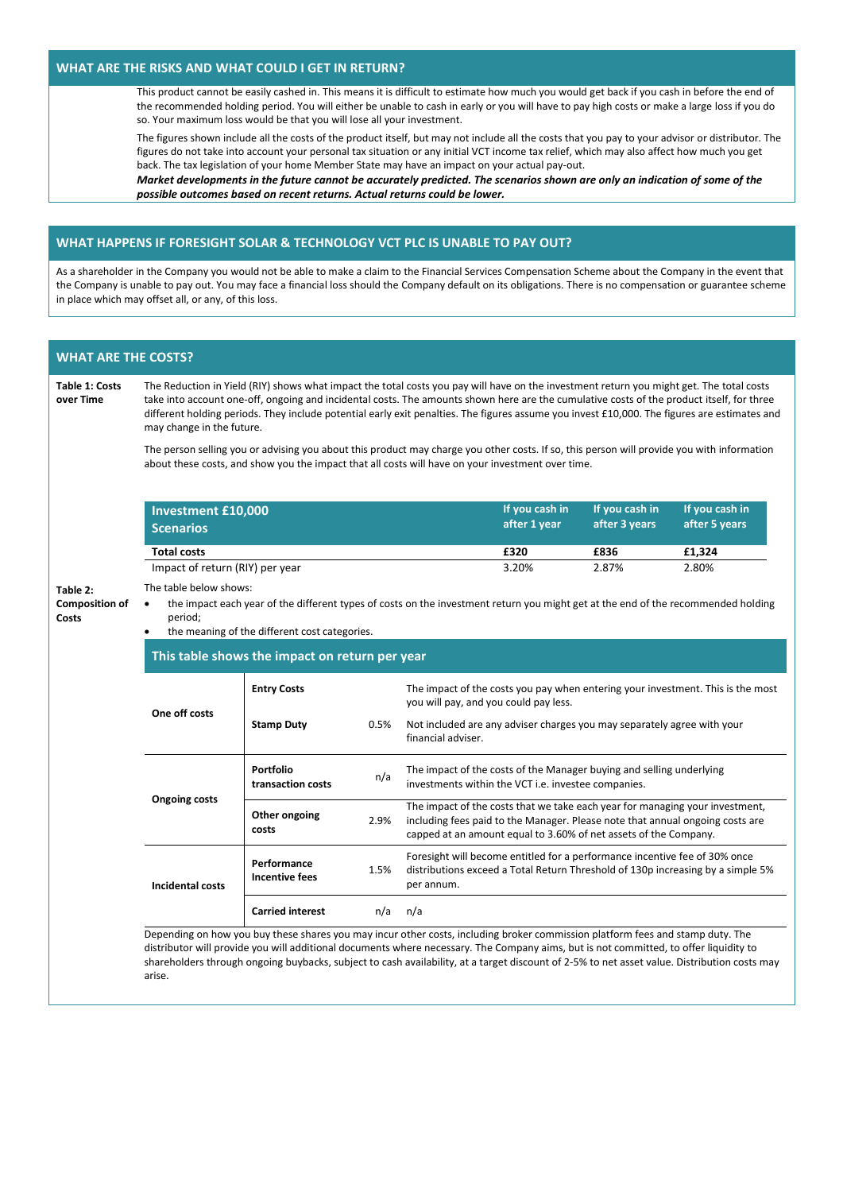## **WHAT ARE THE RISKS AND WHAT COULD I GET IN RETURN?**

This product cannot be easily cashed in. This means it is difficult to estimate how much you would get back if you cash in before the end of the recommended holding period. You will either be unable to cash in early or you will have to pay high costs or make a large loss if you do so. Your maximum loss would be that you will lose all your investment.

The figures shown include all the costs of the product itself, but may not include all the costs that you pay to your advisor or distributor. The figures do not take into account your personal tax situation or any initial VCT income tax relief, which may also affect how much you get back. The tax legislation of your home Member State may have an impact on your actual pay-out.

*Market developments in the future cannot be accurately predicted. The scenarios shown are only an indication of some of the possible outcomes based on recent returns. Actual returns could be lower.*

# **WHAT HAPPENS IF FORESIGHT SOLAR & TECHNOLOGY VCT PLC IS UNABLE TO PAY OUT?**

As a shareholder in the Company you would not be able to make a claim to the Financial Services Compensation Scheme about the Company in the event that the Company is unable to pay out. You may face a financial loss should the Company default on its obligations. There is no compensation or guarantee scheme in place which may offset all, or any, of this loss.

| <b>Table 1: Costs</b><br>over Time | The Reduction in Yield (RIY) shows what impact the total costs you pay will have on the investment return you might get. The total costs<br>take into account one-off, ongoing and incidental costs. The amounts shown here are the cumulative costs of the product itself, for three<br>different holding periods. They include potential early exit penalties. The figures assume you invest £10,000. The figures are estimates and<br>may change in the future. |                                                                                                                                                                                                                                                                                                                                                                                                                         |      |                                                                                                                                                                                                                                   |                |                                                                            |                                                                                 |  |  |
|------------------------------------|--------------------------------------------------------------------------------------------------------------------------------------------------------------------------------------------------------------------------------------------------------------------------------------------------------------------------------------------------------------------------------------------------------------------------------------------------------------------|-------------------------------------------------------------------------------------------------------------------------------------------------------------------------------------------------------------------------------------------------------------------------------------------------------------------------------------------------------------------------------------------------------------------------|------|-----------------------------------------------------------------------------------------------------------------------------------------------------------------------------------------------------------------------------------|----------------|----------------------------------------------------------------------------|---------------------------------------------------------------------------------|--|--|
|                                    |                                                                                                                                                                                                                                                                                                                                                                                                                                                                    | The person selling you or advising you about this product may charge you other costs. If so, this person will provide you with information<br>about these costs, and show you the impact that all costs will have on your investment over time.                                                                                                                                                                         |      |                                                                                                                                                                                                                                   |                |                                                                            |                                                                                 |  |  |
|                                    | <b>Investment £10,000</b>                                                                                                                                                                                                                                                                                                                                                                                                                                          |                                                                                                                                                                                                                                                                                                                                                                                                                         |      |                                                                                                                                                                                                                                   | If you cash in | If you cash in                                                             | If you cash in                                                                  |  |  |
|                                    | <b>Scenarios</b>                                                                                                                                                                                                                                                                                                                                                                                                                                                   |                                                                                                                                                                                                                                                                                                                                                                                                                         |      |                                                                                                                                                                                                                                   | after 1 year   | after 3 years                                                              | after 5 years                                                                   |  |  |
|                                    | <b>Total costs</b>                                                                                                                                                                                                                                                                                                                                                                                                                                                 |                                                                                                                                                                                                                                                                                                                                                                                                                         |      |                                                                                                                                                                                                                                   | £320           | £836                                                                       | £1,324                                                                          |  |  |
|                                    | Impact of return (RIY) per year                                                                                                                                                                                                                                                                                                                                                                                                                                    |                                                                                                                                                                                                                                                                                                                                                                                                                         |      |                                                                                                                                                                                                                                   | 3.20%          | 2.87%                                                                      | 2.80%                                                                           |  |  |
| Costs                              | period;<br>the meaning of the different cost categories.                                                                                                                                                                                                                                                                                                                                                                                                           |                                                                                                                                                                                                                                                                                                                                                                                                                         |      |                                                                                                                                                                                                                                   |                |                                                                            |                                                                                 |  |  |
|                                    |                                                                                                                                                                                                                                                                                                                                                                                                                                                                    | This table shows the impact on return per year                                                                                                                                                                                                                                                                                                                                                                          |      |                                                                                                                                                                                                                                   |                |                                                                            |                                                                                 |  |  |
|                                    | One off costs                                                                                                                                                                                                                                                                                                                                                                                                                                                      | <b>Entry Costs</b>                                                                                                                                                                                                                                                                                                                                                                                                      |      | The impact of the costs you pay when entering your investment. This is the most<br>you will pay, and you could pay less.                                                                                                          |                |                                                                            |                                                                                 |  |  |
|                                    |                                                                                                                                                                                                                                                                                                                                                                                                                                                                    | <b>Stamp Duty</b>                                                                                                                                                                                                                                                                                                                                                                                                       | 0.5% | Not included are any adviser charges you may separately agree with your<br>financial adviser.                                                                                                                                     |                |                                                                            |                                                                                 |  |  |
|                                    |                                                                                                                                                                                                                                                                                                                                                                                                                                                                    | <b>Portfolio</b><br>transaction costs                                                                                                                                                                                                                                                                                                                                                                                   | n/a  | The impact of the costs of the Manager buying and selling underlying<br>investments within the VCT i.e. investee companies.                                                                                                       |                |                                                                            |                                                                                 |  |  |
|                                    | <b>Ongoing costs</b>                                                                                                                                                                                                                                                                                                                                                                                                                                               | Other ongoing<br>costs                                                                                                                                                                                                                                                                                                                                                                                                  | 2.9% | The impact of the costs that we take each year for managing your investment,<br>including fees paid to the Manager. Please note that annual ongoing costs are<br>capped at an amount equal to 3.60% of net assets of the Company. |                |                                                                            |                                                                                 |  |  |
|                                    | <b>Incidental costs</b>                                                                                                                                                                                                                                                                                                                                                                                                                                            | Performance<br><b>Incentive fees</b>                                                                                                                                                                                                                                                                                                                                                                                    | 1.5% | per annum.                                                                                                                                                                                                                        |                | Foresight will become entitled for a performance incentive fee of 30% once | distributions exceed a Total Return Threshold of 130p increasing by a simple 5% |  |  |
|                                    |                                                                                                                                                                                                                                                                                                                                                                                                                                                                    | <b>Carried interest</b>                                                                                                                                                                                                                                                                                                                                                                                                 | n/a  | n/a                                                                                                                                                                                                                               |                |                                                                            |                                                                                 |  |  |
|                                    | arise.                                                                                                                                                                                                                                                                                                                                                                                                                                                             | Depending on how you buy these shares you may incur other costs, including broker commission platform fees and stamp duty. The<br>distributor will provide you will additional documents where necessary. The Company aims, but is not committed, to offer liquidity to<br>shareholders through ongoing buybacks, subject to cash availability, at a target discount of 2-5% to net asset value. Distribution costs may |      |                                                                                                                                                                                                                                   |                |                                                                            |                                                                                 |  |  |